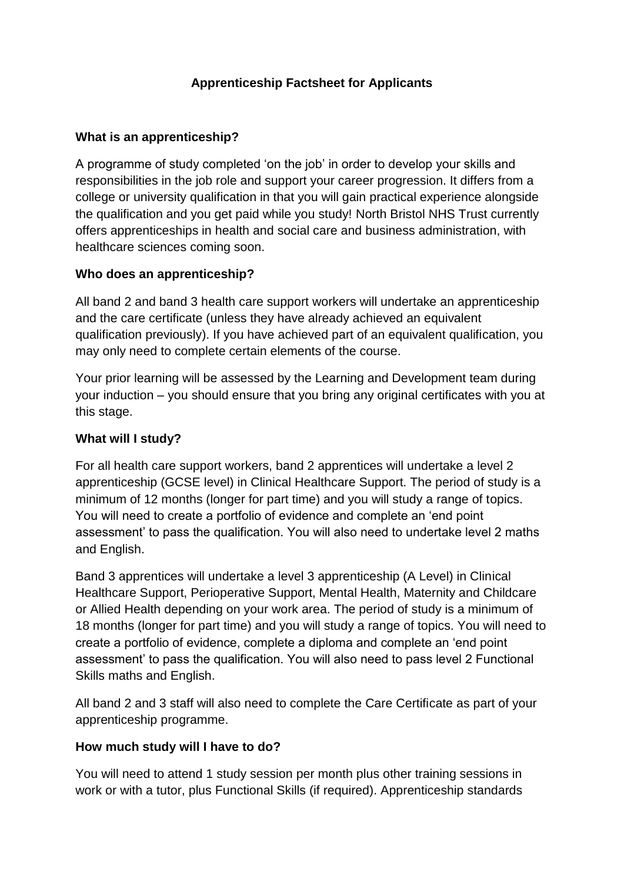# **Apprenticeship Factsheet for Applicants**

#### **What is an apprenticeship?**

A programme of study completed 'on the job' in order to develop your skills and responsibilities in the job role and support your career progression. It differs from a college or university qualification in that you will gain practical experience alongside the qualification and you get paid while you study! North Bristol NHS Trust currently offers apprenticeships in health and social care and business administration, with healthcare sciences coming soon.

#### **Who does an apprenticeship?**

All band 2 and band 3 health care support workers will undertake an apprenticeship and the care certificate (unless they have already achieved an equivalent qualification previously). If you have achieved part of an equivalent qualification, you may only need to complete certain elements of the course.

Your prior learning will be assessed by the Learning and Development team during your induction – you should ensure that you bring any original certificates with you at this stage.

#### **What will I study?**

For all health care support workers, band 2 apprentices will undertake a level 2 apprenticeship (GCSE level) in Clinical Healthcare Support. The period of study is a minimum of 12 months (longer for part time) and you will study a range of topics. You will need to create a portfolio of evidence and complete an 'end point assessment' to pass the qualification. You will also need to undertake level 2 maths and English.

Band 3 apprentices will undertake a level 3 apprenticeship (A Level) in Clinical Healthcare Support, Perioperative Support, Mental Health, Maternity and Childcare or Allied Health depending on your work area. The period of study is a minimum of 18 months (longer for part time) and you will study a range of topics. You will need to create a portfolio of evidence, complete a diploma and complete an 'end point assessment' to pass the qualification. You will also need to pass level 2 Functional Skills maths and English.

All band 2 and 3 staff will also need to complete the Care Certificate as part of your apprenticeship programme.

### **How much study will I have to do?**

You will need to attend 1 study session per month plus other training sessions in work or with a tutor, plus Functional Skills (if required). Apprenticeship standards